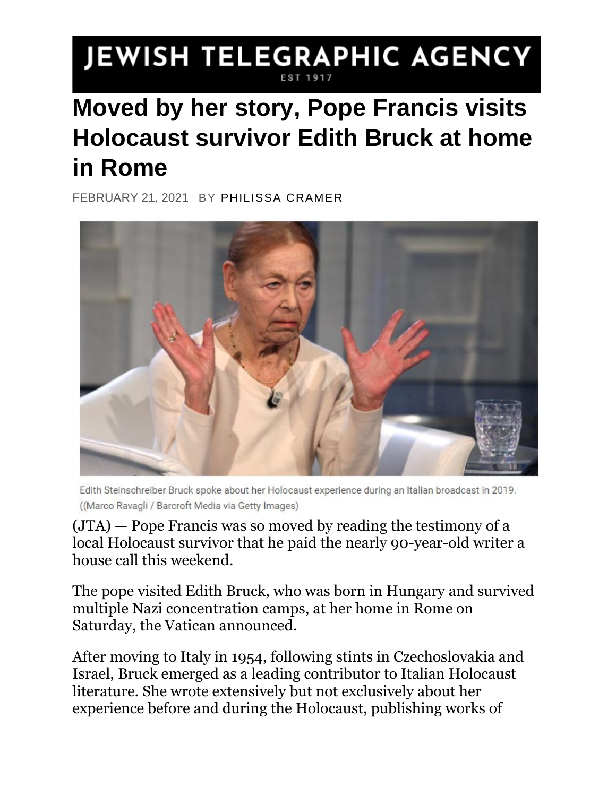## JEWISH TELEGRAPHIC AGENCY

## **Moved by her story, Pope Francis visits Holocaust survivor Edith Bruck at home in Rome**

FEBRUARY 21, 2021 BY PHILISSA CRAMER



Edith Steinschreiber Bruck spoke about her Holocaust experience during an Italian broadcast in 2019. ((Marco Ravagli / Barcroft Media via Getty Images)

[\(JTA\)](http://jta.org/) — Pope Francis was so moved by reading the testimony of a local Holocaust survivor that he paid the nearly 90-year-old writer a house call this weekend.

The pope visited Edith Bruck, who was born in Hungary and survived multiple Nazi concentration camps, at her home in Rome on Saturday, [the Vatican announced.](https://www.vaticannews.va/en/pope/news/2021-02/pope-francis-meets-with-auschwitz-survivor.html)

After moving to Italy in 1954, following stints in Czechoslovakia and Israel, Bruck emerged as a leading contributor to Italian Holocaust literature. She wrote extensively but not exclusively about her experience before and during the Holocaust, publishing works of